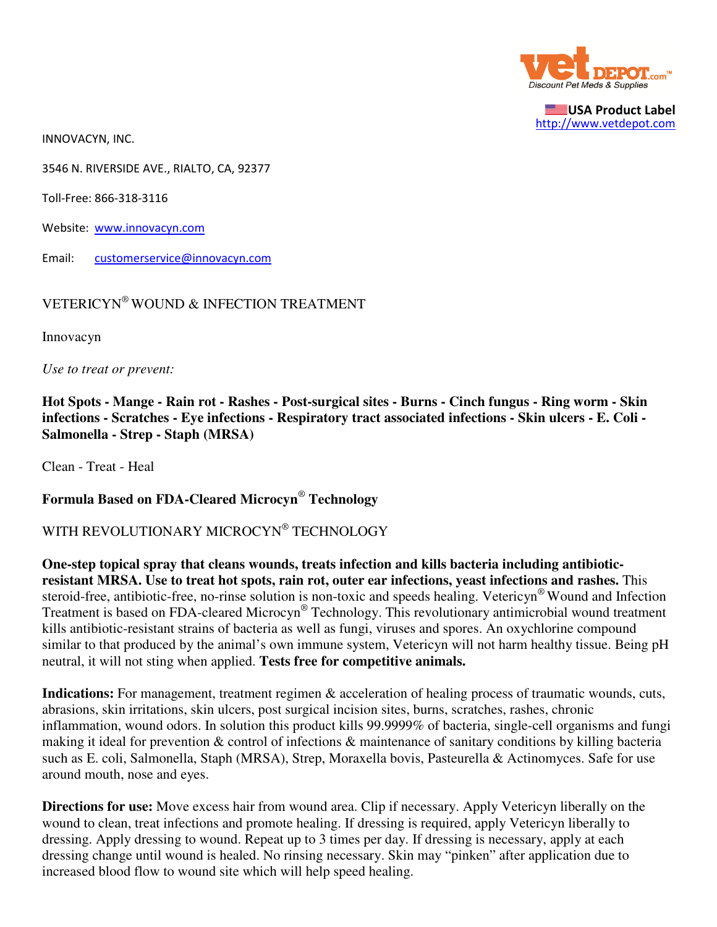

USA Product Label http://www.vetdepot.com

INNOVACYN, INC.

3546 N. RIVERSIDE AVE., RIALTO, CA, 92377

Toll-Free: 866-318-3116

Website: www.innovacyn.com

Email: customerservice@innovacyn.com

## VETERICYN® WOUND & INFECTION TREATMENT

Innovacyn

*Use to treat or prevent:*

**Hot Spots - Mange - Rain rot - Rashes - Post-surgical sites - Burns - Cinch fungus - Ring worm - Skin infections - Scratches - Eye infections - Respiratory tract associated infections - Skin ulcers - E. Coli - Salmonella - Strep - Staph (MRSA)**

Clean - Treat - Heal

**Formula Based on FDA-Cleared Microcyn**®  **Technology**

WITH REVOLUTIONARY MICROCYN® TECHNOLOGY

**One-step topical spray that cleans wounds, treats infection and kills bacteria including antibioticresistant MRSA. Use to treat hot spots, rain rot, outer ear infections, yeast infections and rashes.** This steroid-free, antibiotic-free, no-rinse solution is non-toxic and speeds healing. Vetericyn® Wound and Infection Treatment is based on FDA-cleared Microcyn® Technology. This revolutionary antimicrobial wound treatment kills antibiotic-resistant strains of bacteria as well as fungi, viruses and spores. An oxychlorine compound similar to that produced by the animal's own immune system, Vetericyn will not harm healthy tissue. Being pH neutral, it will not sting when applied. **Tests free for competitive animals.**

**Indications:** For management, treatment regimen & acceleration of healing process of traumatic wounds, cuts, abrasions, skin irritations, skin ulcers, post surgical incision sites, burns, scratches, rashes, chronic inflammation, wound odors. In solution this product kills 99.9999% of bacteria, single-cell organisms and fungi making it ideal for prevention & control of infections & maintenance of sanitary conditions by killing bacteria such as E. coli, Salmonella, Staph (MRSA), Strep, Moraxella bovis, Pasteurella & Actinomyces. Safe for use around mouth, nose and eyes.

**Directions for use:** Move excess hair from wound area. Clip if necessary. Apply Vetericyn liberally on the wound to clean, treat infections and promote healing. If dressing is required, apply Vetericyn liberally to dressing. Apply dressing to wound. Repeat up to 3 times per day. If dressing is necessary, apply at each dressing change until wound is healed. No rinsing necessary. Skin may "pinken" after application due to increased blood flow to wound site which will help speed healing.